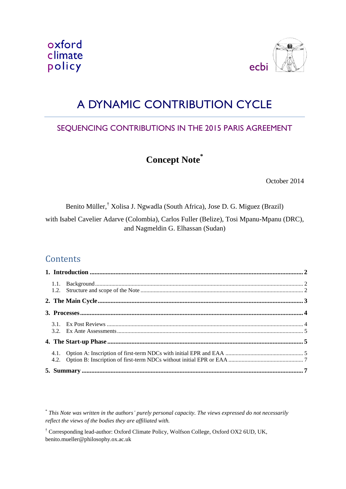



# A DYNAMIC CONTRIBUTION CYCLE

# SEQUENCING CONTRIBUTIONS IN THE 2015 PARIS AGREEMENT

# **Concept Note\***

October 2014

Benito Müller,† Xolisa J. Ngwadla (South Africa), Jose D. G. Miguez (Brazil)

with Isabel Cavelier Adarve (Colombia), Carlos Fuller (Belize), Tosi Mpanu-Mpanu (DRC), and Nagmeldin G. Elhassan (Sudan)

# **Contents**

\* *This Note was written in the authors' purely personal capacity. The views expressed do not necessarily reflect the views of the bodies they are affiliated with.*

† Corresponding lead-author: Oxford Climate Policy, Wolfson College, Oxford OX2 6UD, UK, benito.mueller@philosophy.ox.ac.uk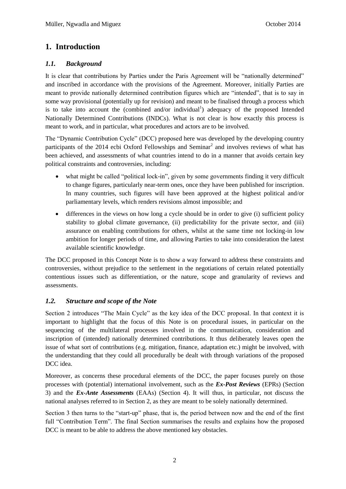# <span id="page-1-0"></span>**1. Introduction**

#### <span id="page-1-1"></span>*1.1. Background*

It is clear that contributions by Parties under the Paris Agreement will be "nationally determined" and inscribed in accordance with the provisions of the Agreement. Moreover, initially Parties are meant to provide nationally determined contribution figures which are "intended", that is to say in some way provisional (potentially up for revision) and meant to be finalised through a process which is to take into account the (combined and/or individual<sup>1</sup>) adequacy of the proposed Intended Nationally Determined Contributions (INDCs). What is not clear is how exactly this process is meant to work, and in particular, what procedures and actors are to be involved.

The "Dynamic Contribution Cycle" (DCC) proposed here was developed by the developing country participants of the 2014 ecbi Oxford Fellowships and Seminar<sup>2</sup> and involves reviews of what has been achieved, and assessments of what countries intend to do in a manner that avoids certain key political constraints and controversies, including:

- what might be called "political lock-in", given by some governments finding it very difficult to change figures, particularly near-term ones, once they have been published for inscription. In many countries, such figures will have been approved at the highest political and/or parliamentary levels, which renders revisions almost impossible; and
- differences in the views on how long a cycle should be in order to give (i) sufficient policy stability to global climate governance, (ii) predictability for the private sector, and (iii) assurance on enabling contributions for others, whilst at the same time not locking-in low ambition for longer periods of time, and allowing Parties to take into consideration the latest available scientific knowledge.

The DCC proposed in this Concept Note is to show a way forward to address these constraints and controversies, without prejudice to the settlement in the negotiations of certain related potentially contentious issues such as differentiation, or the nature, scope and granularity of reviews and assessments.

### <span id="page-1-2"></span>*1.2. Structure and scope of the Note*

Section 2 introduces "The Main Cycle" as the key idea of the DCC proposal. In that context it is important to highlight that the focus of this Note is on procedural issues, in particular on the sequencing of the multilateral processes involved in the communication, consideration and inscription of (intended) nationally determined contributions. It thus deliberately leaves open the issue of what sort of contributions (e.g. mitigation, finance, adaptation etc.) might be involved, with the understanding that they could all procedurally be dealt with through variations of the proposed DCC idea.

Moreover, as concerns these procedural elements of the DCC, the paper focuses purely on those processes with (potential) international involvement, such as the *Ex-Post Reviews* (EPRs) (Section 3) and the *Ex-Ante Assessments* (EAAs) (Section 4). It will thus, in particular, not discuss the national analyses referred to in Section 2, as they are meant to be solely nationally determined.

Section 3 then turns to the "start-up" phase, that is, the period between now and the end of the first full "Contribution Term". The final Section summarises the results and explains how the proposed DCC is meant to be able to address the above mentioned key obstacles.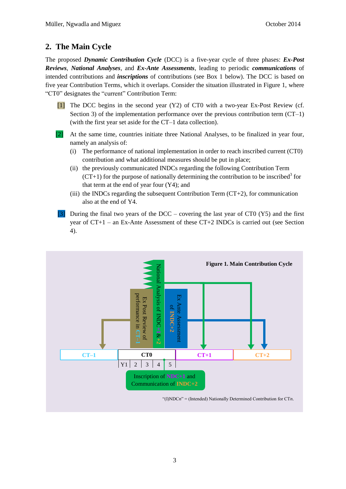# <span id="page-2-0"></span>**2. The Main Cycle**

The proposed *Dynamic Contribution Cycle* (DCC) is a five-year cycle of three phases: *Ex-Post Reviews*, *National Analyses*, and *Ex-Ante Assessments*, leading to periodic *communications* of intended contributions and *inscriptions* of contributions (see Box 1 below). The DCC is based on five year Contribution Terms, which it overlaps. Consider the situation illustrated in Figure 1, where "CT0" designates the "current" Contribution Term:

- [1] The DCC begins in the second year (Y2) of CT0 with a two-year Ex-Post Review (cf. Section 3) of the implementation performance over the previous contribution term  $(CT-1)$ (with the first year set aside for the CT–1 data collection).
- [2] At the same time, countries initiate three National Analyses, to be finalized in year four, namely an analysis of:
	- (i) The performance of national implementation in order to reach inscribed current (CT0) contribution and what additional measures should be put in place;
	- (ii) the previously communicated INDCs regarding the following Contribution Term  $(CT+1)$  for the purpose of nationally determining the contribution to be inscribed<sup>3</sup> for that term at the end of year four (Y4); and
	- (iii) the INDCs regarding the subsequent Contribution Term  $(CT+2)$ , for communication also at the end of Y4.
	- During the final two years of the DCC covering the last year of CT0 (Y5) and the first year of CT+1 – an Ex-Ante Assessment of these CT+2 INDCs is carried out (see Section 4).

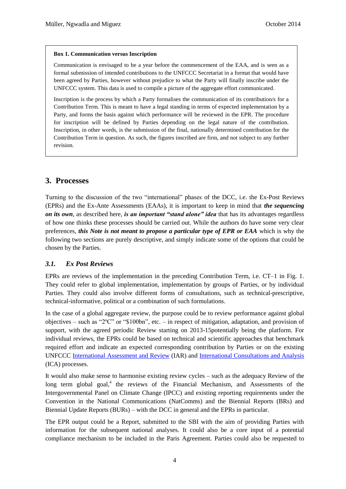#### **Box 1. Communication versus Inscription**

Communication is envisaged to be a year before the commencement of the EAA, and is seen as a formal submission of intended contributions to the UNFCCC Secretariat in a format that would have been agreed by Parties, however without prejudice to what the Party will finally inscribe under the UNFCCC system. This data is used to compile a picture of the aggregate effort communicated.

Inscription is the process by which a Party formalises the communication of its contribution/s for a Contribution Term. This is meant to have a legal standing in terms of expected implementation by a Party, and forms the basis against which performance will be reviewed in the EPR. The procedure for inscription will be defined by Parties depending on the legal nature of the contribution. Inscription, in other words, is the submission of the final, nationally determined contribution for the Contribution Term in question. As such, the figures inscribed are firm, and not subject to any further revision.

#### <span id="page-3-0"></span>**3. Processes**

Turning to the discussion of the two "international" phases of the DCC, i.e. the Ex-Post Reviews (EPRs) and the Ex-Ante Assessments (EAAs), it is important to keep in mind that *the sequencing on its own*, as described here, *is an important "stand alone" idea* that has its advantages regardless of how one thinks these processes should be carried out. While the authors do have some very clear preferences, *this Note is not meant to propose a particular type of EPR or EAA* which is why the following two sections are purely descriptive, and simply indicate some of the options that could be chosen by the Parties.

#### <span id="page-3-1"></span>*3.1. Ex Post Reviews*

EPRs are reviews of the implementation in the preceding Contribution Term, i.e. CT–1 in Fig. 1. They could refer to global implementation, implementation by groups of Parties, or by individual Parties. They could also involve different forms of consultations, such as technical-prescriptive, technical-informative, political or a combination of such formulations.

In the case of a global aggregate review, the purpose could be to review performance against global objectives – such as "2ºC" or "\$100bn", etc. – in respect of mitigation, adaptation, and provision of support, with the agreed periodic Review starting on 2013-15potentially being the platform. For individual reviews, the EPRs could be based on technical and scientific approaches that benchmark required effort and indicate an expected corresponding contribution by Parties or on the existing UNFCCC [International Assessment and Review](https://unfccc.int/national_reports/biennial_reports_and_iar/international_assessment_and_review/items/7549.php) (IAR) and [International Consultations and Analysis](http://unfccc.int/resource/docs/2012/sbi/eng/inf09.pdf) (ICA) processes.

It would also make sense to harmonise existing review cycles – such as the adequacy Review of the long term global goal,<sup>4</sup> the reviews of the Financial Mechanism, and Assessments of the Intergovernmental Panel on Climate Change (IPCC) and existing reporting requirements under the Convention in the National Communications (NatComms) and the Biennial Reports (BRs) and Biennial Update Reports (BURs) – with the DCC in general and the EPRs in particular.

The EPR output could be a Report, submitted to the SBI with the aim of providing Parties with information for the subsequent national analyses. It could also be a core input of a potential compliance mechanism to be included in the Paris Agreement. Parties could also be requested to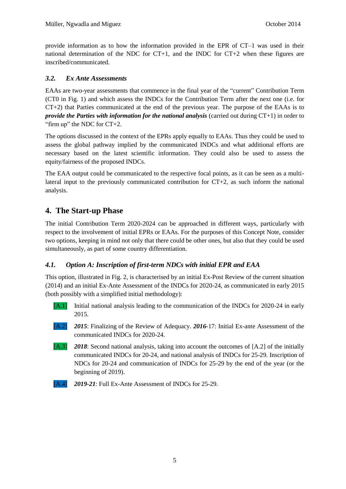provide information as to how the information provided in the EPR of CT–1 was used in their national determination of the NDC for CT+1, and the INDC for CT+2 when these figures are inscribed/communicated.

#### <span id="page-4-0"></span>*3.2. Ex Ante Assessments*

EAAs are two-year assessments that commence in the final year of the "current" Contribution Term (CT0 in Fig. 1) and which assess the INDCs for the Contribution Term after the next one (i.e. for CT+2) that Parties communicated at the end of the previous year. The purpose of the EAAs is to *provide the Parties with information for the national analysis* (carried out during CT+1) in order to "firm up" the NDC for CT+2.

The options discussed in the context of the EPRs apply equally to EAAs. Thus they could be used to assess the global pathway implied by the communicated INDCs and what additional efforts are necessary based on the latest scientific information. They could also be used to assess the equity/fairness of the proposed INDCs.

The EAA output could be communicated to the respective focal points, as it can be seen as a multilateral input to the previously communicated contribution for  $CT+2$ , as such inform the national analysis.

## <span id="page-4-1"></span>**4. The Start-up Phase**

The initial Contribution Term 2020-2024 can be approached in different ways, particularly with respect to the involvement of initial EPRs or EAAs. For the purposes of this Concept Note, consider two options, keeping in mind not only that there could be other ones, but also that they could be used simultaneously, as part of some country differentiation.

#### <span id="page-4-2"></span>*4.1. Option A: Inscription of first-term NDCs with initial EPR and EAA*

This option, illustrated in Fig. 2, is characterised by an initial Ex-Post Review of the current situation (2014) and an initial Ex-Ante Assessment of the INDCs for 2020-24, as communicated in early 2015 (both possibly with a simplified initial methodology):

- [A.1] Initial national analysis leading to the communication of the INDCs for 2020-24 in early 2015.
- [A.2] *2015*: Finalizing of the Review of Adequacy. *2016-*17: Initial Ex-ante Assessment of the communicated INDCs for 2020-24.
- [A.3] *2018*: Second national analysis, taking into account the outcomes of [A.2] of the initially communicated INDCs for 20-24, and national analysis of INDCs for 25-29. Inscription of NDCs for 20-24 and communication of INDCs for 25-29 by the end of the year (or the beginning of 2019).

[A.4] *2019-21*: Full Ex-Ante Assessment of INDCs for 25-29.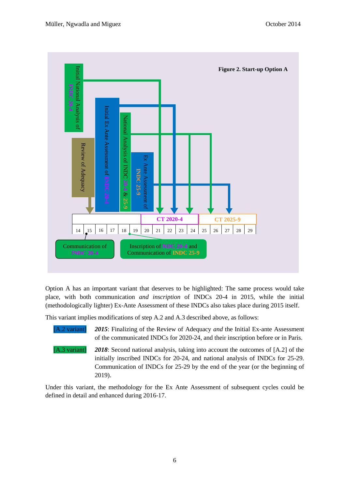

Option A has an important variant that deserves to be highlighted: The same process would take place, with both communication *and inscription* of INDCs 20-4 in 2015, while the initial (methodologically lighter) Ex-Ante Assessment of these INDCs also takes place during 2015 itself.

This variant implies modifications of step A.2 and A.3 described above, as follows:

[A.2 variant] *2015*: Finalizing of the Review of Adequacy *and* the Initial Ex-ante Assessment of the communicated INDCs for 2020-24, and their inscription before or in Paris.

[A.3 variant] *2018*: Second national analysis, taking into account the outcomes of [A.2] of the initially inscribed INDCs for 20-24, and national analysis of INDCs for 25-29. Communication of INDCs for 25-29 by the end of the year (or the beginning of 2019).

Under this variant, the methodology for the Ex Ante Assessment of subsequent cycles could be defined in detail and enhanced during 2016-17.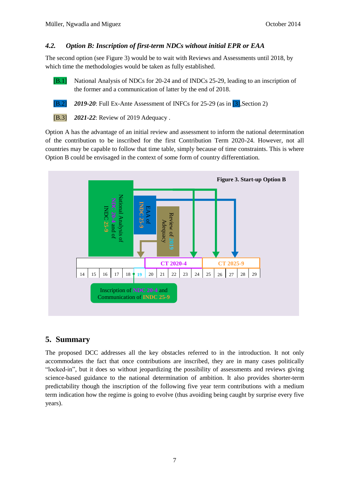#### <span id="page-6-0"></span>*4.2. Option B: Inscription of first-term NDCs without initial EPR or EAA*

The second option (see Figure 3) would be to wait with Reviews and Assessments until 2018, by which time the methodologies would be taken as fully established.

[B.1] National Analysis of NDCs for 20-24 and of INDCs 25-29, leading to an inscription of the former and a communication of latter by the end of 2018.

[B.2] *2019-20*: Full Ex-Ante Assessment of INFCs for 25-29 (as in [3],Section 2)

[B.3] *2021-22*: Review of 2019 Adequacy .

Option A has the advantage of an initial review and assessment to inform the national determination of the contribution to be inscribed for the first Contribution Term 2020-24. However, not all countries may be capable to follow that time table, simply because of time constraints. This is where Option B could be envisaged in the context of some form of country differentiation.



# <span id="page-6-1"></span>**5. Summary**

The proposed DCC addresses all the key obstacles referred to in the introduction. It not only accommodates the fact that once contributions are inscribed, they are in many cases politically "locked-in", but it does so without jeopardizing the possibility of assessments and reviews giving science-based guidance to the national determination of ambition. It also provides shorter-term predictability though the inscription of the following five year term contributions with a medium term indication how the regime is going to evolve (thus avoiding being caught by surprise every five years).